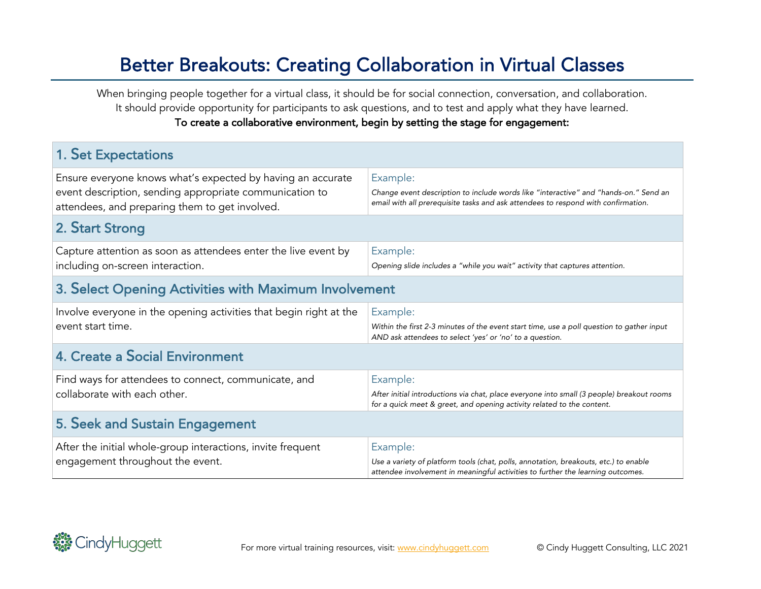## Better Breakouts: Creating Collaboration in Virtual Classes

When bringing people together for a virtual class, it should be for social connection, conversation, and collaboration. It should provide opportunity for participants to ask questions, and to test and apply what they have learned. To create a collaborative environment, begin by setting the stage for engagement:

| <b>1. Set Expectations</b>                                                                                                                                               |                                                                                                                                                                                       |  |  |
|--------------------------------------------------------------------------------------------------------------------------------------------------------------------------|---------------------------------------------------------------------------------------------------------------------------------------------------------------------------------------|--|--|
| Ensure everyone knows what's expected by having an accurate<br>event description, sending appropriate communication to<br>attendees, and preparing them to get involved. | Example:<br>Change event description to include words like "interactive" and "hands-on." Send an<br>email with all prerequisite tasks and ask attendees to respond with confirmation. |  |  |
| 2. Start Strong                                                                                                                                                          |                                                                                                                                                                                       |  |  |
| Capture attention as soon as attendees enter the live event by<br>including on-screen interaction.                                                                       | Example:<br>Opening slide includes a "while you wait" activity that captures attention.                                                                                               |  |  |
| 3. Select Opening Activities with Maximum Involvement                                                                                                                    |                                                                                                                                                                                       |  |  |
| Involve everyone in the opening activities that begin right at the<br>event start time.                                                                                  | Example:<br>Within the first 2-3 minutes of the event start time, use a poll question to gather input<br>AND ask attendees to select 'yes' or 'no' to a question.                     |  |  |
| 4. Create a Social Environment                                                                                                                                           |                                                                                                                                                                                       |  |  |
| Find ways for attendees to connect, communicate, and<br>collaborate with each other.                                                                                     | Example:<br>After initial introductions via chat, place everyone into small (3 people) breakout rooms<br>for a quick meet & greet, and opening activity related to the content.       |  |  |
| 5. Seek and Sustain Engagement                                                                                                                                           |                                                                                                                                                                                       |  |  |
| After the initial whole-group interactions, invite frequent<br>engagement throughout the event.                                                                          | Example:<br>Use a variety of platform tools (chat, polls, annotation, breakouts, etc.) to enable<br>attendee involvement in meaningful activities to further the learning outcomes.   |  |  |

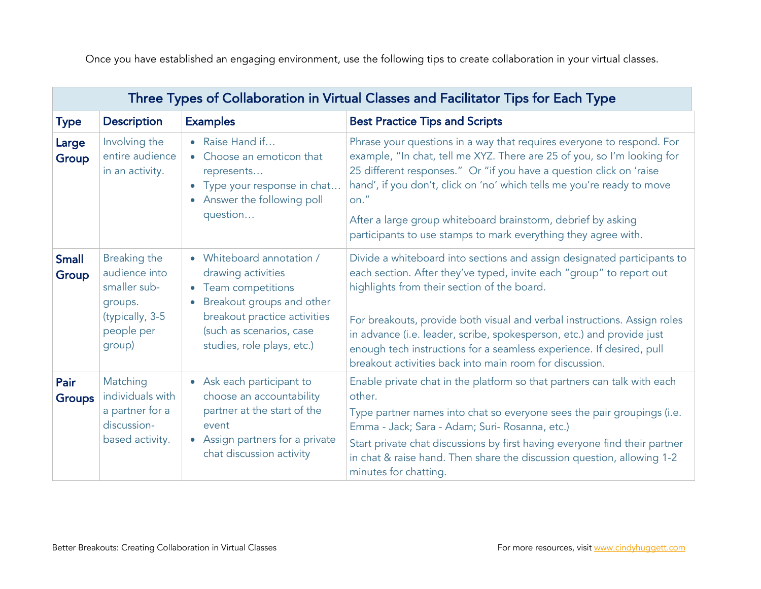Once you have established an engaging environment, use the following tips to create collaboration in your virtual classes.

| Three Types of Collaboration in Virtual Classes and Facilitator Tips for Each Type |                                                                                                     |                                                                                                                                                                                                            |                                                                                                                                                                                                                                                                                                                                                                                                                                                                                        |  |
|------------------------------------------------------------------------------------|-----------------------------------------------------------------------------------------------------|------------------------------------------------------------------------------------------------------------------------------------------------------------------------------------------------------------|----------------------------------------------------------------------------------------------------------------------------------------------------------------------------------------------------------------------------------------------------------------------------------------------------------------------------------------------------------------------------------------------------------------------------------------------------------------------------------------|--|
| <b>Type</b>                                                                        | <b>Description</b>                                                                                  | <b>Examples</b>                                                                                                                                                                                            | <b>Best Practice Tips and Scripts</b>                                                                                                                                                                                                                                                                                                                                                                                                                                                  |  |
| Large<br>Group                                                                     | Involving the<br>entire audience<br>in an activity.                                                 | • Raise Hand if<br>• Choose an emoticon that<br>represents<br>Type your response in chat<br>• Answer the following poll<br>question                                                                        | Phrase your questions in a way that requires everyone to respond. For<br>example, "In chat, tell me XYZ. There are 25 of you, so I'm looking for<br>25 different responses." Or "if you have a question click on 'raise<br>hand', if you don't, click on 'no' which tells me you're ready to move<br>on."<br>After a large group whiteboard brainstorm, debrief by asking<br>participants to use stamps to mark everything they agree with.                                            |  |
| <b>Small</b><br>Group                                                              | Breaking the<br>audience into<br>smaller sub-<br>groups.<br>(typically, 3-5<br>people per<br>group) | • Whiteboard annotation /<br>drawing activities<br>• Team competitions<br>Breakout groups and other<br>$\bullet$<br>breakout practice activities<br>(such as scenarios, case<br>studies, role plays, etc.) | Divide a whiteboard into sections and assign designated participants to<br>each section. After they've typed, invite each "group" to report out<br>highlights from their section of the board.<br>For breakouts, provide both visual and verbal instructions. Assign roles<br>in advance (i.e. leader, scribe, spokesperson, etc.) and provide just<br>enough tech instructions for a seamless experience. If desired, pull<br>breakout activities back into main room for discussion. |  |
| Pair<br><b>Groups</b>                                                              | Matching<br>individuals with<br>a partner for a<br>discussion-<br>based activity.                   | • Ask each participant to<br>choose an accountability<br>partner at the start of the<br>event<br>• Assign partners for a private<br>chat discussion activity                                               | Enable private chat in the platform so that partners can talk with each<br>other.<br>Type partner names into chat so everyone sees the pair groupings (i.e.<br>Emma - Jack; Sara - Adam; Suri- Rosanna, etc.)<br>Start private chat discussions by first having everyone find their partner<br>in chat & raise hand. Then share the discussion question, allowing 1-2<br>minutes for chatting.                                                                                         |  |